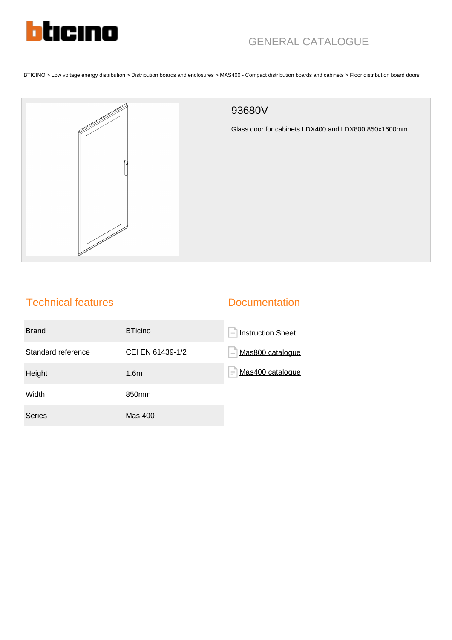

BTICINO > Low voltage energy distribution > Distribution boards and enclosures > MAS400 - Compact distribution boards and cabinets > Floor distribution board doors



## 93680V

Glass door for cabinets LDX400 and LDX800 850x1600mm

## Technical features

## **Documentation**

| <b>Brand</b>       | <b>BTicino</b>    | <b>Instruction Sheet</b><br>$\equiv$ |
|--------------------|-------------------|--------------------------------------|
| Standard reference | CEI EN 61439-1/2  | F<br>Mas800 catalogue                |
| Height             | 1.6 <sub>m</sub>  | F<br>Mas400 catalogue                |
| Width              | 850 <sub>mm</sub> |                                      |
| <b>Series</b>      | <b>Mas 400</b>    |                                      |